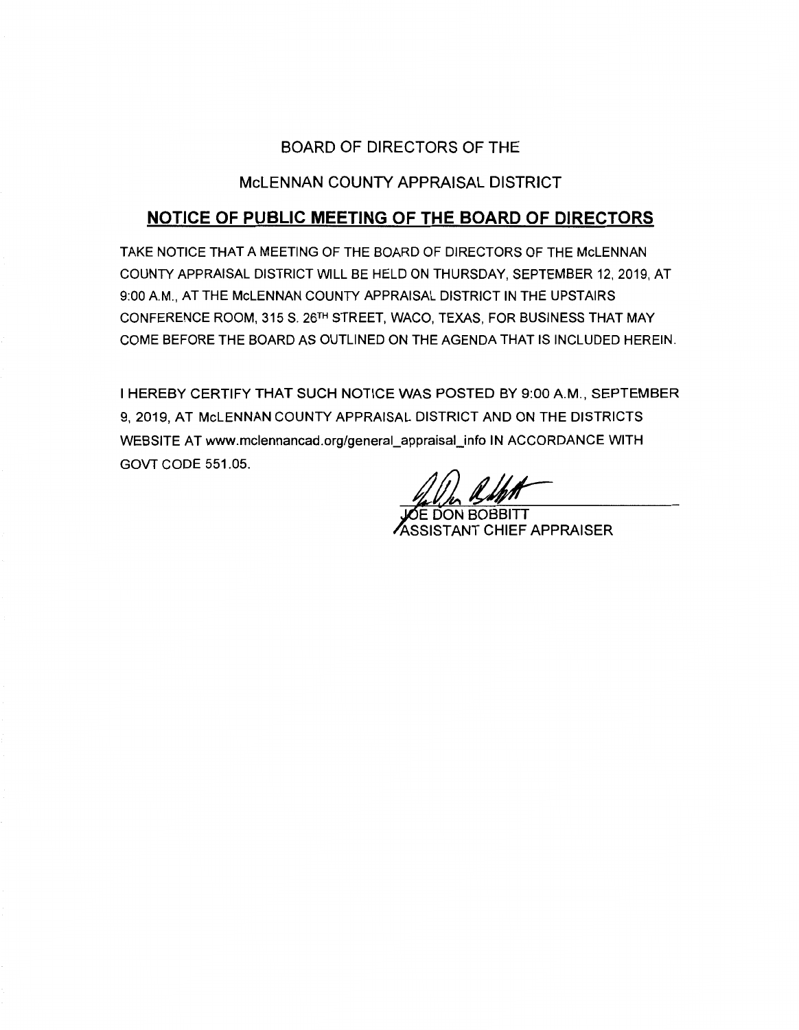## BOARD OF DIRECTORS OF THE

## McLENNAN COUNTY APPRAISAL DISTRICT

# **NOTICE OF PUBLIC MEETING OF THE BOARD OF DIRECTORS**

TAKE NOTICE THAT A MEETING OF THE BOARD OF DIRECTORS OF THE McLENNAN COUNTY APPRAISAL DISTRICT WILL BE HELD ON THURSDAY, SEPTEMBER 12, 2019, AT 9:00 AM., AT THE McLENNAN COUNTY APPRAISAL DISTRICT IN THE UPSTAIRS CONFERENCE ROOM, 315 S. 26TH STREET, WACO, TEXAS, FOR BUSINESS THAT MAY COME BEFORE THE BOARD AS OUTLINED ON THE AGENDA THAT IS INCLUDED HEREIN.

I HEREBY CERTIFY THAT SUCH NOTICE WAS POSTED BY 9:00 **AM.,** SEPTEMBER 9, 2019, AT McLENNAN COUNTY APPRAISAL DISTRICT AND ON THE DISTRICTS WEBSITE AT www.mclennancad.org/general\_appraisal\_info IN ACCORDANCE WITH GOVT CODE 551.05.

**JOE DON BOBBITT** ASSISTANT CHIEF APPRAISER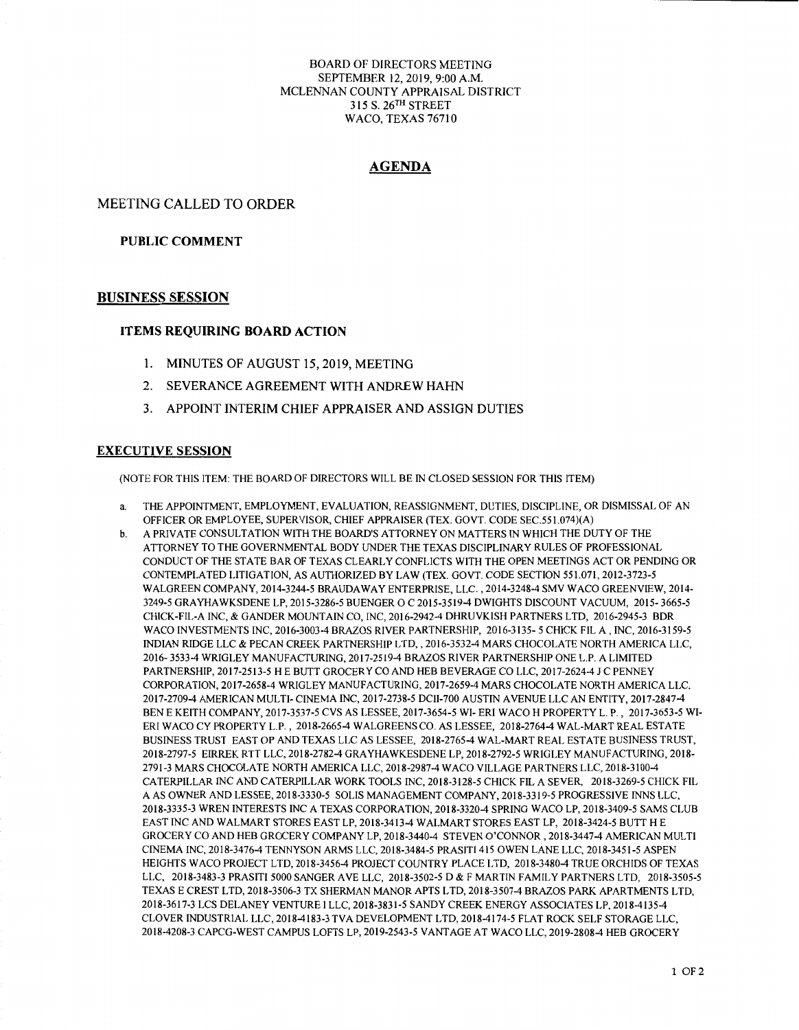BOARD OF DIRECTORS MEETING SEPTEMBER 12, 2019, 9:00 A.M. MCLENNAN COUNTY APPRAISAL DISTRICT 315 S. 26TH STREET WACO, TEXAS 76710

### **AGENDA**

MEETING CALLED TO ORDER

#### **PUBLIC COMMENT**

#### **BUSINESS SESSION**

#### **ITEMS REQUIRING BOARD ACTION**

- 1. MINUTES OF AUGUST 15, 2019, MEETING
- 2. SEVERANCE AGREEMENT WITH ANDREW HAHN
- 3. APPOINT INTERIM CHIEF APPRAISER AND ASSIGN DUTIES

#### **EXECUTIVE SESSION**

(NOTE FOR THIS ITEM: THE BOARD OF DIRECTORS WILL BE IN CLOSED SESSION FOR THIS ITEM)

- a. THE APPOINTMENT, EMPLOYMENT, EVALUATION, REASSIGNMENT, DUTIES, DISCIPLINE, OR DISMISSAL OF AN OFFICER OR EMPLOYEE, SUPERVISOR, CHIEF APPRAISER (TEX. GOVT. CODE SEC.551.074)(A)
- b. A PRIVATE CONSULTATION WITH THE BOARD'S ATTORNEY ON MATTERS IN WHICH THE DUTY OF THE ATTORNEY TO THE GOVERNMENTAL BODY UNDER THE TEXAS DISCIPLINARY RULES OF PROFESSIONAL CONDUCT OF THE STA TE BAR OF TEXAS CLEARLY CONFLICTS WITH THE OPEN MEETINGS ACT OR PENDING OR CONTEMPLATED LITIGATION, AS AUTHORIZED BY LAW (TEX. GOVT. CODE SECTION 551.071, 2012-3723-5 WALGREEN COMPANY, 2014-3244-5 BRAUDA WAY ENTERPRISE, LLC. , 2014-3248-4 SMV WACO GREENVIEW, 2014- 3249-5 GRA YHA WKSDENE LP, 2015-3286-5 BUENGER O C 2015-3519-4 DWIGHTS DISCOUNT VACUUM, 2015- 3665-5 CHICK-FIL-A INC, & GANDER MOUNTAIN CO, INC, 2016-2942-4 DHRUVKISH PARTNERS LTD, 2016-2945-3 BDR WACO INVESTMENTS INC, 2016-3003-4 BRAZOS RIVER PARTNERSHIP, 2016-3135- 5 CHICK FIL A, INC, 2016-3159-5 INDIAN RIDGE LLC & PECAN CREEK PARTNERSHIP LTD,, 2016-3532-4 MARS CHOCOLATE NORTH AMERICA LLC, 2016- 3533-4 WRIGLEY MANUFACTURING, 2017-2519-4 BRAZOS RIVER PARTNERSHIP ONE L.P. A LIMITED PARTNERSHIP, 2017-2513-5 HE BUTT GROCERY CO AND HEB BEVERAGE CO LLC, 2017-2624-4 JC PENNEY CORPORATION, 2017-2658-4 WRIGLEY MANUFACTURING, 2017-2659-4 MARS CHOCOLATE NORTH AMERICA LLC, 2017-2709-4 AMERICAN MULTI- CINEMA INC, 2017-2738-5 DCII-700 AUSTIN AVENUE LLC AN ENTITY, 2017-2847-4 BEN E KEITH COMPANY, 2017-3537-5 CVS AS LESSEE, 2017-3654-5 WI- ERi WACO H PROPERTY L. P., 2017-3653-5 WI-ER! WACO CY PROPERTY L.P., 2018-2665-4 WALGREENS CO. AS LESSEE, 2018-2764-4 WAL-MART REAL ESTATE BUSINESS TRUST EAST OP AND TEXAS LLC AS LESSEE, 2018-2765-4 WAL-MART REAL ESTATE BUSINESS TRUST, 2018-2797-5 EIRREK RTT LLC, 2018-2782-4 GRA YHA WKESDENE LP, 2018-2792-5 WRIGLEY MANUFACTURING, 2018- 2791-3 MARS CHOCOLATE NORTH AMERICA LLC, 2018-2987-4 WACO VILLAGE PARTNERS LLC, 2018-3100-4 CATERPILLAR INC AND CATERPILLAR WORK TOOLS INC, 2018-3128-5 CHICK FIL A SEVER, 2018-3269-5 CHICK FIL A AS OWNER AND LESSEE, 2018-3330-5 SOLIS MANAGEMENT COMPANY, 2018-3319-5 PROGRESSIVE INNS LLC, 2018-3335-3 WREN INTERESTS INC A TEXAS CORPORATION, 2018-3320-4 SPRING WACO LP, 2018-3409-5 SAMS CLUB EAST INC AND WALMART STORES EAST LP, 2018-3413-4 WALMART STORES EAST LP, 2018-3424-5 BUTT HE GROCERY CO AND HEB GROCERY COMPANY LP, 2018-3440-4 STEVEN O'CONNOR, 2018-3447-4 AMERICAN MULTI CINEMA INC, 2018-3476-4 TENNYSON ARMS LLC, 2018-3484-5 PRASITI 415 OWEN LANE LLC, 2018-3451-5 ASPEN HEIGHTS WACO PROJECT LTD, 2018-3456-4 PROJECT COUNTRY PLACE LTD, 2018-3480-4 TRUE ORCHIDS OF TEXAS LLC, 2018-3483-3 PRASITI 5000 SANGER AVE LLC, 2018-3502-5 D & F MARTIN FAMILY PARTNERS LTD, 2018-3505-5 TEXAS E CREST LTD, 2018-3506-3 TX SHERMAN MANORAPTS LTD, 2018-3507-4 BRAZOS PARK APARTMENTS LTD, 2018-3617-3 LCS DELANEY VENTURE I LLC, 2018-3831-5 SANDY CREEK ENERGY ASSOCIATES LP, 2018-4135-4 CLOVER INDUSTRIAL LLC, 2018-4183-3 TVA DEVELOPMENT LTD, 2018-4174-5 FLAT ROCK SELF STORAGE LLC, 2018-4208-3 CAPCG-WEST CAMPUS LOFTS LP, 2019-2543-5 VANTAGE AT WACO LLC, 2019-2808-4 HEB GROCERY